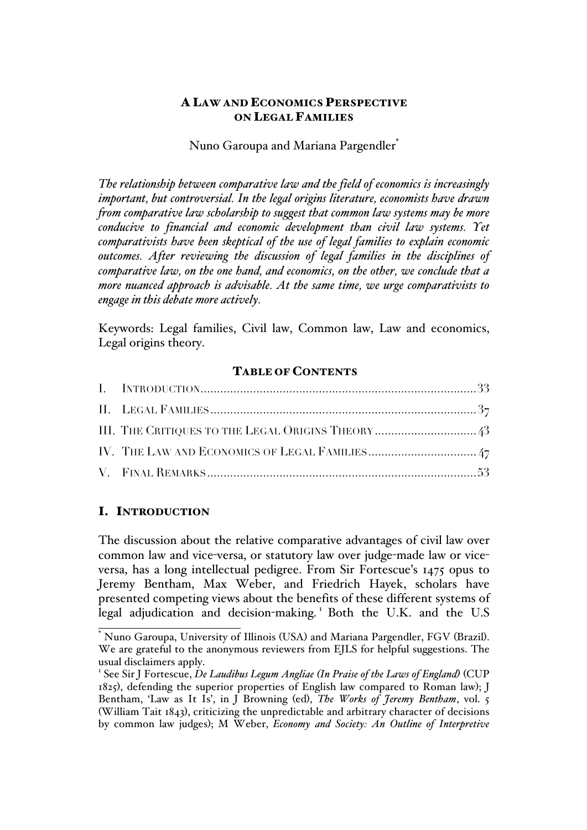## A LAW AND ECONOMICS PERSPECTIVE ON LEGAL FAMILIES

## Nuno Garoupa and Mariana Pargendler<sup>\*</sup>

*The relationship between comparative law and the field of economics is increasingly important, but controversial. In the legal origins literature, economists have drawn from comparative law scholarship to suggest that common law systems may be more conducive to financial and economic development than civil law systems. Yet comparativists have been skeptical of the use of legal families to explain economic outcomes. After reviewing the discussion of legal families in the disciplines of comparative law, on the one hand, and economics, on the other, we conclude that a more nuanced approach is advisable. At the same time, we urge comparativists to engage in this debate more actively.*

Keywords: Legal families, Civil law, Common law, Law and economics, Legal origins theory.

### TABLE OF CONTENTS

## I. INTRODUCTION

The discussion about the relative comparative advantages of civil law over common law and vice-versa, or statutory law over judge-made law or viceversa, has a long intellectual pedigree. From Sir Fortescue's 1475 opus to Jeremy Bentham, Max Weber, and Friedrich Hayek, scholars have presented competing views about the benefits of these different systems of legal adjudication and decision-making. <sup>1</sup> Both the U.K. and the U.S

\* Nuno Garoupa, University of Illinois (USA) and Mariana Pargendler, FGV (Brazil). We are grateful to the anonymous reviewers from EJLS for helpful suggestions. The usual disclaimers apply.

<sup>1</sup> See Sir J Fortescue, *De Laudibus Legum Angliae (In Praise of the Laws of England)* (CUP 1825), defending the superior properties of English law compared to Roman law); J Bentham, 'Law as It Is', in J Browning (ed), *The Works of Jeremy Bentham*, vol. 5 (William Tait 1843), criticizing the unpredictable and arbitrary character of decisions by common law judges); M Weber, *Economy and Society: An Outline of Interpretive*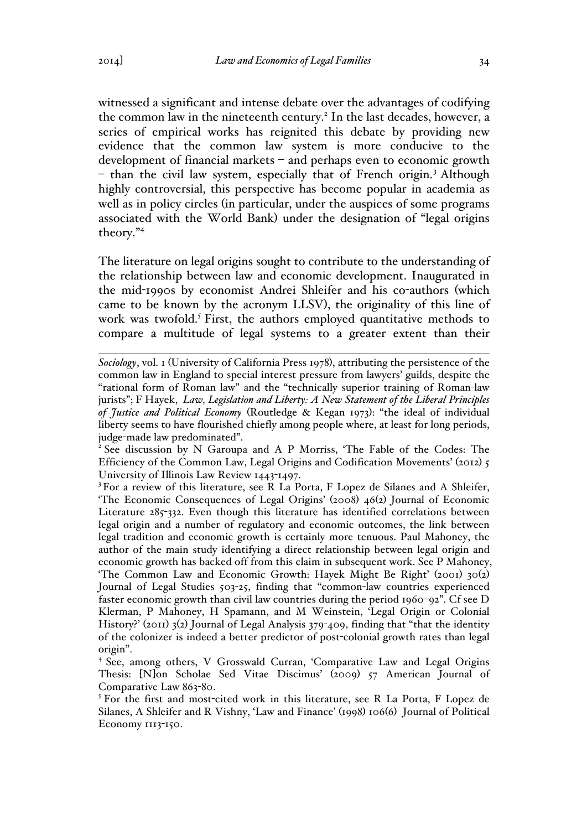witnessed a significant and intense debate over the advantages of codifying the common law in the nineteenth century.<sup>2</sup> In the last decades, however, a series of empirical works has reignited this debate by providing new evidence that the common law system is more conducive to the development of financial markets – and perhaps even to economic growth – than the civil law system, especially that of French origin.<sup>3</sup> Although highly controversial, this perspective has become popular in academia as well as in policy circles (in particular, under the auspices of some programs associated with the World Bank) under the designation of "legal origins theory."<sup>4</sup>

The literature on legal origins sought to contribute to the understanding of the relationship between law and economic development. Inaugurated in the mid-1990s by economist Andrei Shleifer and his co-authors (which came to be known by the acronym LLSV), the originality of this line of work was twofold.<sup>5</sup> First, the authors employed quantitative methods to compare a multitude of legal systems to a greater extent than their

judge-made law predominated". <sup>2</sup> See discussion by N Garoupa and A P Morriss, 'The Fable of the Codes: The Efficiency of the Common Law, Legal Origins and Codification Movements' (2012) 5 University of Illinois Law Review 1443-1497.

<sup>3</sup> For a review of this literature, see R La Porta, F Lopez de Silanes and A Shleifer, 'The Economic Consequences of Legal Origins' (2008) 46(2) Journal of Economic Literature 285-332. Even though this literature has identified correlations between legal origin and a number of regulatory and economic outcomes, the link between legal tradition and economic growth is certainly more tenuous. Paul Mahoney, the author of the main study identifying a direct relationship between legal origin and economic growth has backed off from this claim in subsequent work. See P Mahoney, 'The Common Law and Economic Growth: Hayek Might Be Right' (2001) 30(2) Journal of Legal Studies 503-25, finding that "common-law countries experienced faster economic growth than civil law countries during the period 1960–92". Cf see D Klerman, P Mahoney, H Spamann, and M Weinstein, 'Legal Origin or Colonial History?' (2011) 3(2) Journal of Legal Analysis 379-409, finding that "that the identity of the colonizer is indeed a better predictor of post-colonial growth rates than legal origin".

<sup>4</sup> See, among others, V Grosswald Curran, 'Comparative Law and Legal Origins Thesis: [N]on Scholae Sed Vitae Discimus' (2009) 57 American Journal of Comparative Law 863-80.

<sup>5</sup> For the first and most-cited work in this literature, see R La Porta, F Lopez de Silanes, A Shleifer and R Vishny, 'Law and Finance' (1998) 106(6) Journal of Political Economy 1113-150.

 $\overline{a}$ *Sociology*, vol. 1 (University of California Press 1978), attributing the persistence of the common law in England to special interest pressure from lawyers' guilds, despite the "rational form of Roman law" and the "technically superior training of Roman-law jurists"; F Hayek, *Law, Legislation and Liberty: A New Statement of the Liberal Principles of Justice and Political Economy* (Routledge & Kegan 1973): "the ideal of individual liberty seems to have flourished chiefly among people where, at least for long periods,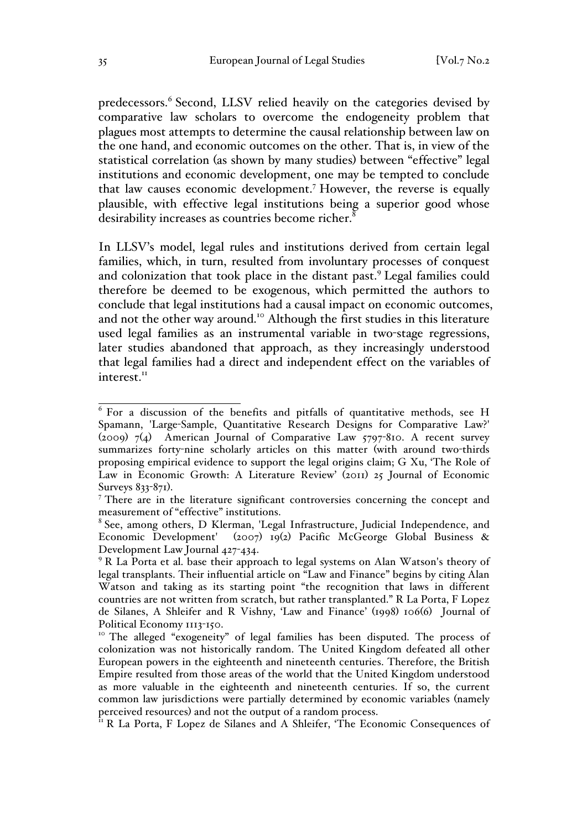predecessors.<sup>6</sup> Second, LLSV relied heavily on the categories devised by comparative law scholars to overcome the endogeneity problem that plagues most attempts to determine the causal relationship between law on the one hand, and economic outcomes on the other. That is, in view of the statistical correlation (as shown by many studies) between "effective" legal institutions and economic development, one may be tempted to conclude that law causes economic development.<sup>7</sup> However, the reverse is equally plausible, with effective legal institutions being a superior good whose desirability increases as countries become richer.<sup>8</sup>

In LLSV's model, legal rules and institutions derived from certain legal families, which, in turn, resulted from involuntary processes of conquest and colonization that took place in the distant past.<sup>9</sup> Legal families could therefore be deemed to be exogenous, which permitted the authors to conclude that legal institutions had a causal impact on economic outcomes, and not the other way around.<sup>10</sup> Although the first studies in this literature used legal families as an instrumental variable in two-stage regressions, later studies abandoned that approach, as they increasingly understood that legal families had a direct and independent effect on the variables of interest.<sup>11</sup>

 $6$  For a discussion of the benefits and pitfalls of quantitative methods, see H Spamann, 'Large-Sample, Quantitative Research Designs for Comparative Law?' (2009)  $7(4)$  American Journal of Comparative Law 5797-810. A recent survey summarizes forty-nine scholarly articles on this matter (with around two-thirds proposing empirical evidence to support the legal origins claim; G Xu, 'The Role of Law in Economic Growth: A Literature Review' (2011) 25 Journal of Economic Surveys 833-871).

<sup>&</sup>lt;sup>7</sup> There are in the literature significant controversies concerning the concept and measurement of "effective" institutions.

<sup>8</sup> See, among others, D Klerman, 'Legal Infrastructure, Judicial Independence, and Economic Development' (2007) 19(2) Pacific McGeorge Global Business & Development Law Journal 427-434.

<sup>&</sup>lt;sup>9</sup> R La Porta et al. base their approach to legal systems on Alan Watson's theory of legal transplants. Their influential article on "Law and Finance" begins by citing Alan Watson and taking as its starting point "the recognition that laws in different countries are not written from scratch, but rather transplanted." R La Porta, F Lopez de Silanes, A Shleifer and R Vishny, 'Law and Finance' (1998) 106(6) Journal of Political Economy 1113-150.<br><sup>10</sup> The alleged "exogeneity" of legal families has been disputed. The process of

colonization was not historically random. The United Kingdom defeated all other European powers in the eighteenth and nineteenth centuries. Therefore, the British Empire resulted from those areas of the world that the United Kingdom understood as more valuable in the eighteenth and nineteenth centuries. If so, the current common law jurisdictions were partially determined by economic variables (namely perceived resources) and not the output of a random process.<br><sup>11</sup> R La Porta, F Lopez de Silanes and A Shleifer, 'The Economic Consequences of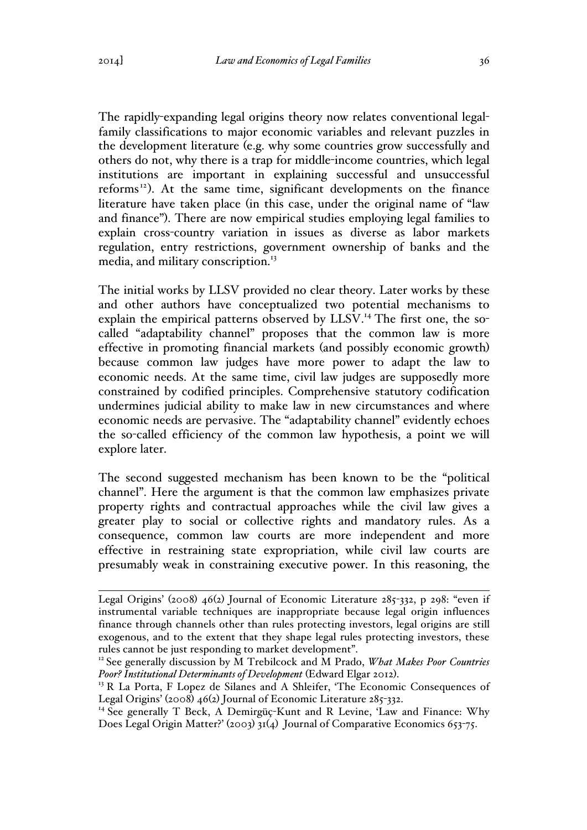The rapidly-expanding legal origins theory now relates conventional legalfamily classifications to major economic variables and relevant puzzles in the development literature (e.g. why some countries grow successfully and others do not, why there is a trap for middle-income countries, which legal institutions are important in explaining successful and unsuccessful reforms<sup>12</sup>). At the same time, significant developments on the finance literature have taken place (in this case, under the original name of "law and finance"). There are now empirical studies employing legal families to explain cross-country variation in issues as diverse as labor markets regulation, entry restrictions, government ownership of banks and the media, and military conscription.<sup>13</sup>

The initial works by LLSV provided no clear theory. Later works by these and other authors have conceptualized two potential mechanisms to explain the empirical patterns observed by LLSV.<sup>14</sup> The first one, the socalled "adaptability channel" proposes that the common law is more effective in promoting financial markets (and possibly economic growth) because common law judges have more power to adapt the law to economic needs. At the same time, civil law judges are supposedly more constrained by codified principles. Comprehensive statutory codification undermines judicial ability to make law in new circumstances and where economic needs are pervasive. The "adaptability channel" evidently echoes the so-called efficiency of the common law hypothesis, a point we will explore later.

The second suggested mechanism has been known to be the "political channel". Here the argument is that the common law emphasizes private property rights and contractual approaches while the civil law gives a greater play to social or collective rights and mandatory rules. As a consequence, common law courts are more independent and more effective in restraining state expropriation, while civil law courts are presumably weak in constraining executive power. In this reasoning, the

 $\overline{a}$ Legal Origins' (2008) 46(2) Journal of Economic Literature 285-332, p 298: "even if instrumental variable techniques are inappropriate because legal origin influences finance through channels other than rules protecting investors, legal origins are still exogenous, and to the extent that they shape legal rules protecting investors, these rules cannot be just responding to market development". <sup>12</sup> See generally discussion by M Trebilcock and M Prado, *What Makes Poor Countries* 

*Poor? Institutional Determinants of Development* (Edward Elgar 2012).<br><sup>13</sup> R La Porta, F Lopez de Silanes and A Shleifer, 'The Economic Consequences of

Legal Origins' (2008) 46(2) Journal of Economic Literature 285-332.<br><sup>14</sup> See generally T Beck, A Demirgüç-Kunt and R Levine, 'Law and Finance: Why

Does Legal Origin Matter?' (2003) 31(4) Journal of Comparative Economics 653-75.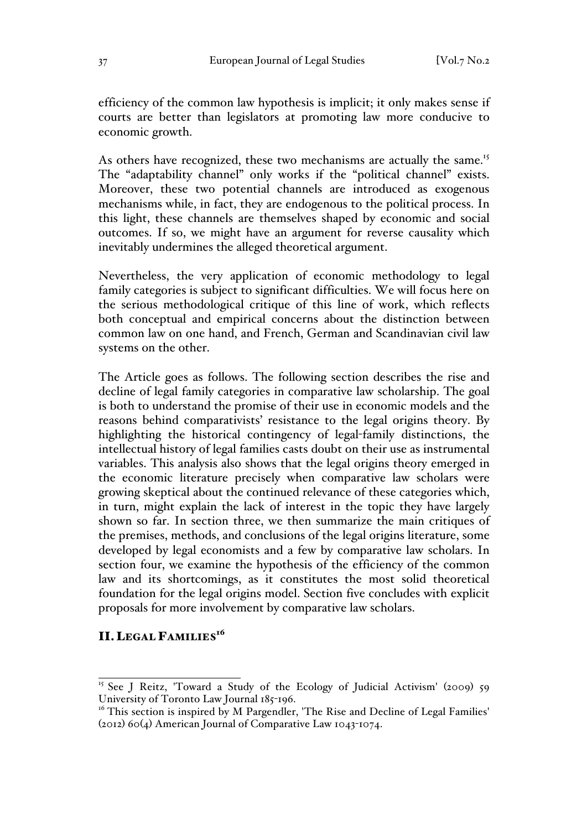efficiency of the common law hypothesis is implicit; it only makes sense if courts are better than legislators at promoting law more conducive to economic growth.

As others have recognized, these two mechanisms are actually the same.<sup>15</sup> The "adaptability channel" only works if the "political channel" exists. Moreover, these two potential channels are introduced as exogenous mechanisms while, in fact, they are endogenous to the political process. In this light, these channels are themselves shaped by economic and social outcomes. If so, we might have an argument for reverse causality which inevitably undermines the alleged theoretical argument.

Nevertheless, the very application of economic methodology to legal family categories is subject to significant difficulties. We will focus here on the serious methodological critique of this line of work, which reflects both conceptual and empirical concerns about the distinction between common law on one hand, and French, German and Scandinavian civil law systems on the other.

The Article goes as follows. The following section describes the rise and decline of legal family categories in comparative law scholarship. The goal is both to understand the promise of their use in economic models and the reasons behind comparativists' resistance to the legal origins theory. By highlighting the historical contingency of legal-family distinctions, the intellectual history of legal families casts doubt on their use as instrumental variables. This analysis also shows that the legal origins theory emerged in the economic literature precisely when comparative law scholars were growing skeptical about the continued relevance of these categories which, in turn, might explain the lack of interest in the topic they have largely shown so far. In section three, we then summarize the main critiques of the premises, methods, and conclusions of the legal origins literature, some developed by legal economists and a few by comparative law scholars. In section four, we examine the hypothesis of the efficiency of the common law and its shortcomings, as it constitutes the most solid theoretical foundation for the legal origins model. Section five concludes with explicit proposals for more involvement by comparative law scholars.

# II. LEGAL FAMILIES<sup>16</sup>

<sup>&</sup>lt;sup>15</sup> See J Reitz, 'Toward a Study of the Ecology of Judicial Activism' (2009) 59 University of Toronto Law Journal 185-196.

 $16$ <sup>16</sup> This section is inspired by M Pargendler, 'The Rise and Decline of Legal Families' (2012) 60(4) American Journal of Comparative Law 1043-1074.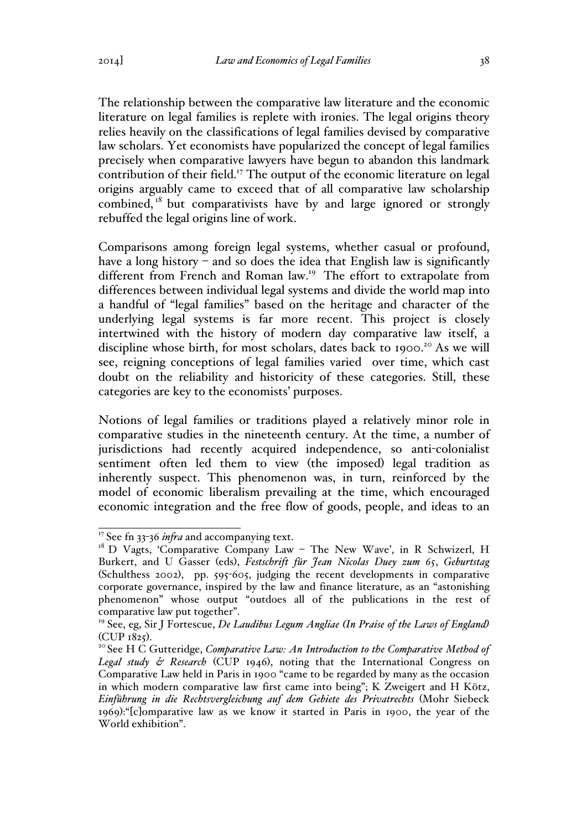The relationship between the comparative law literature and the economic literature on legal families is replete with ironies. The legal origins theory relies heavily on the classifications of legal families devised by comparative law scholars. Yet economists have popularized the concept of legal families precisely when comparative lawyers have begun to abandon this landmark contribution of their field.<sup>17</sup> The output of the economic literature on legal origins arguably came to exceed that of all comparative law scholarship combined, $18$  but comparativists have by and large ignored or strongly rebuffed the legal origins line of work.

Comparisons among foreign legal systems, whether casual or profound, have a long history – and so does the idea that English law is significantly different from French and Roman law.<sup>19</sup> The effort to extrapolate from differences between individual legal systems and divide the world map into a handful of "legal families" based on the heritage and character of the underlying legal systems is far more recent. This project is closely intertwined with the history of modern day comparative law itself, a discipline whose birth, for most scholars, dates back to 1900.<sup>20</sup> As we will see, reigning conceptions of legal families varied over time, which cast doubt on the reliability and historicity of these categories. Still, these categories are key to the economists' purposes.

Notions of legal families or traditions played a relatively minor role in comparative studies in the nineteenth century. At the time, a number of jurisdictions had recently acquired independence, so anti-colonialist sentiment often led them to view (the imposed) legal tradition as inherently suspect. This phenomenon was, in turn, reinforced by the model of economic liberalism prevailing at the time, which encouraged economic integration and the free flow of goods, people, and ideas to an

<sup>&</sup>lt;sup>17</sup> See fn 33-36 *infra* and accompanying text.<br><sup>18</sup> D Vagts, 'Comparative Company Law – The New Wave', in R Schwizerl, H Burkert, and U Gasser (eds), *Festschrift für Jean Nicolas Duey zum 65*, *Geburtstag* (Schulthess 2002), pp. 595-605, judging the recent developments in comparative corporate governance, inspired by the law and finance literature, as an "astonishing phenomenon" whose output "outdoes all of the publications in the rest of comparative law put together".

<sup>19</sup> See, eg, Sir J Fortescue, *De Laudibus Legum Angliae (In Praise of the Laws of England)*

<sup>&</sup>lt;sup>20</sup> See H C Gutteridge, *Comparative Law: An Introduction to the Comparative Method of Legal study & Research* (CUP 1946), noting that the International Congress on Comparative Law held in Paris in 1900 "came to be regarded by many as the occasion in which modern comparative law first came into being"; K Zweigert and H Kötz, *Einführung in die Rechtsvergleichung auf dem Gebiete des Privatrechts* (Mohr Siebeck 1969):"[c]omparative law as we know it started in Paris in 1900, the year of the World exhibition".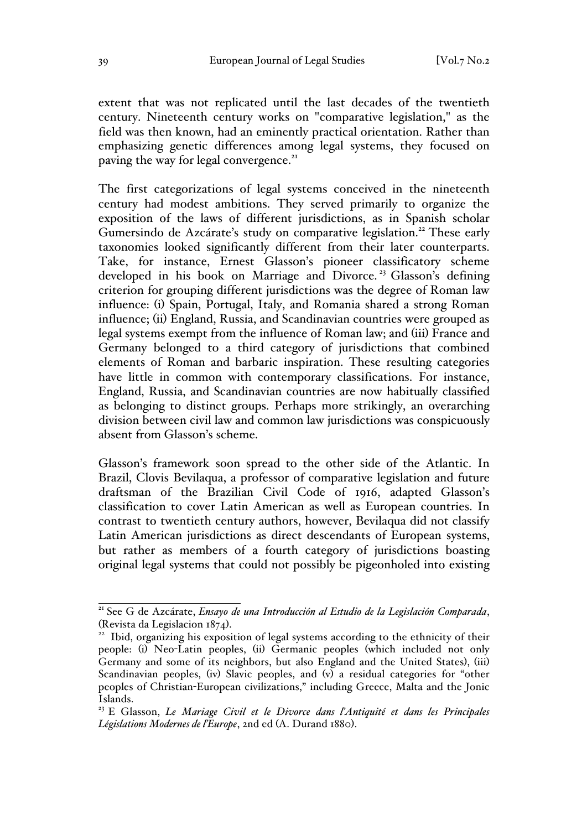extent that was not replicated until the last decades of the twentieth century. Nineteenth century works on "comparative legislation," as the field was then known, had an eminently practical orientation. Rather than emphasizing genetic differences among legal systems, they focused on paving the way for legal convergence.<sup>21</sup>

The first categorizations of legal systems conceived in the nineteenth century had modest ambitions. They served primarily to organize the exposition of the laws of different jurisdictions, as in Spanish scholar Gumersindo de Azcárate's study on comparative legislation.<sup>22</sup> These early taxonomies looked significantly different from their later counterparts. Take, for instance, Ernest Glasson's pioneer classificatory scheme developed in his book on Marriage and Divorce.<sup>23</sup> Glasson's defining criterion for grouping different jurisdictions was the degree of Roman law influence: (i) Spain, Portugal, Italy, and Romania shared a strong Roman influence; (ii) England, Russia, and Scandinavian countries were grouped as legal systems exempt from the influence of Roman law; and (iii) France and Germany belonged to a third category of jurisdictions that combined elements of Roman and barbaric inspiration. These resulting categories have little in common with contemporary classifications. For instance, England, Russia, and Scandinavian countries are now habitually classified as belonging to distinct groups. Perhaps more strikingly, an overarching division between civil law and common law jurisdictions was conspicuously absent from Glasson's scheme.

Glasson's framework soon spread to the other side of the Atlantic. In Brazil, Clovis Bevilaqua, a professor of comparative legislation and future draftsman of the Brazilian Civil Code of 1916, adapted Glasson's classification to cover Latin American as well as European countries. In contrast to twentieth century authors, however, Bevilaqua did not classify Latin American jurisdictions as direct descendants of European systems, but rather as members of a fourth category of jurisdictions boasting original legal systems that could not possibly be pigeonholed into existing

<sup>21</sup> See G de Azcárate, *Ensayo de una Introducción al Estudio de la Legislación Comparada*,

<sup>(</sup>Revista da Legislacion 1874).<br><sup>22</sup> Ibid, organizing his exposition of legal systems according to the ethnicity of their people: (i) Neo-Latin peoples, (ii) Germanic peoples (which included not only Germany and some of its neighbors, but also England and the United States), (iii) Scandinavian peoples, (iv) Slavic peoples, and (v) a residual categories for "other peoples of Christian-European civilizations," including Greece, Malta and the Jonic Islands.

<sup>23</sup> E Glasson, *Le Mariage Civil et le Divorce dans l'Antiquité et dans les Principales Législations Modernes de l'Europe*, 2nd ed (A. Durand 1880).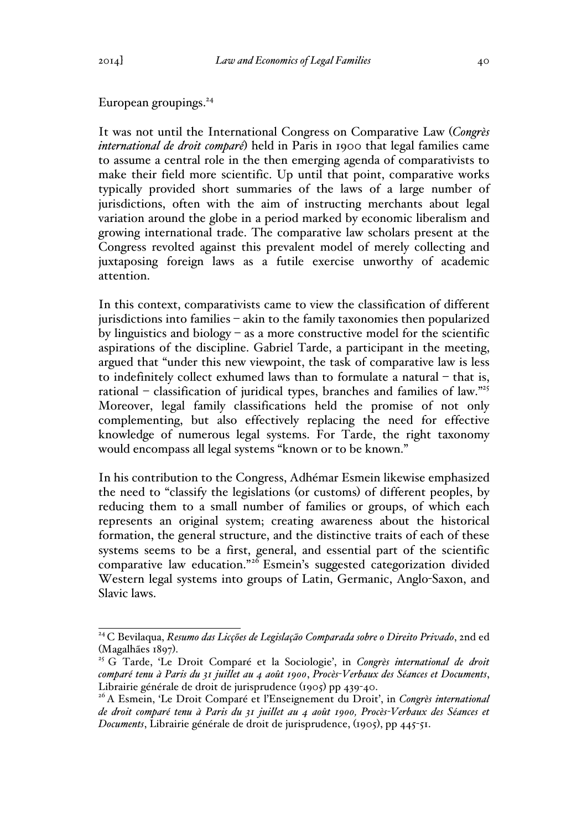## European groupings.<sup>24</sup>

It was not until the International Congress on Comparative Law (*Congrès international de droit comparé*) held in Paris in 1900 that legal families came to assume a central role in the then emerging agenda of comparativists to make their field more scientific. Up until that point, comparative works typically provided short summaries of the laws of a large number of jurisdictions, often with the aim of instructing merchants about legal variation around the globe in a period marked by economic liberalism and growing international trade. The comparative law scholars present at the Congress revolted against this prevalent model of merely collecting and juxtaposing foreign laws as a futile exercise unworthy of academic attention.

In this context, comparativists came to view the classification of different jurisdictions into families – akin to the family taxonomies then popularized by linguistics and biology – as a more constructive model for the scientific aspirations of the discipline. Gabriel Tarde, a participant in the meeting, argued that "under this new viewpoint, the task of comparative law is less to indefinitely collect exhumed laws than to formulate a natural – that is, rational – classification of juridical types, branches and families of law."25 Moreover, legal family classifications held the promise of not only complementing, but also effectively replacing the need for effective knowledge of numerous legal systems. For Tarde, the right taxonomy would encompass all legal systems "known or to be known."

In his contribution to the Congress, Adhémar Esmein likewise emphasized the need to "classify the legislations (or customs) of different peoples, by reducing them to a small number of families or groups, of which each represents an original system; creating awareness about the historical formation, the general structure, and the distinctive traits of each of these systems seems to be a first, general, and essential part of the scientific comparative law education."<sup>26</sup> Esmein's suggested categorization divided Western legal systems into groups of Latin, Germanic, Anglo-Saxon, and Slavic laws.

<sup>24</sup> C Bevilaqua, *Resumo das Licções de Legislação Comparada sobre o Direito Privado*, 2nd ed (Magalhães 1897).<br><sup>25</sup> G Tarde, 'Le Droit Comparé et la Sociologie', in *Congrès international de droit* 

*comparé tenu à Paris du 31 juillet au 4 août 1900*, *Procès-Verbaux des Séances et Documents*, Librairie générale de droit de jurisprudence (1905) pp 439-40.

<sup>26</sup> A Esmein, 'Le Droit Comparé et l'Enseignement du Droit', in *Congrès international de droit comparé tenu à Paris du 31 juillet au 4 août 1900, Procès-Verbaux des Séances et Documents*, Librairie générale de droit de jurisprudence, (1905), pp 445-51.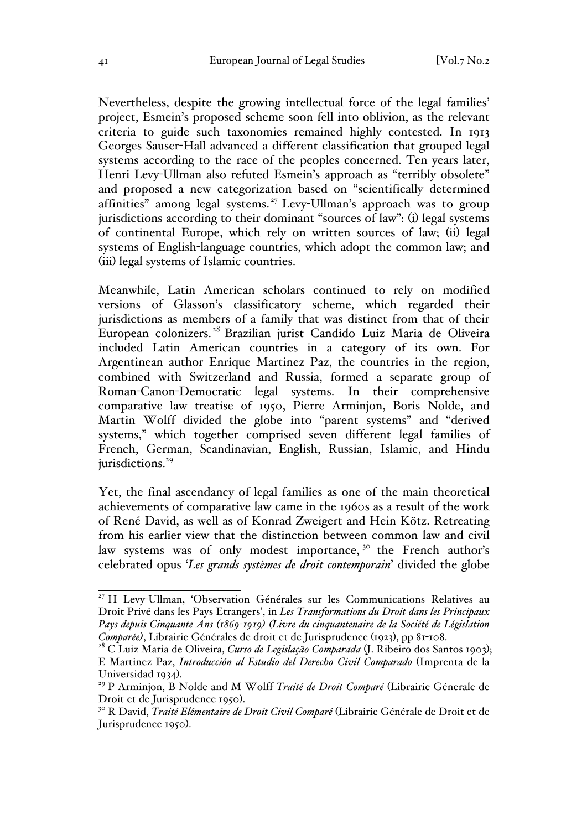Nevertheless, despite the growing intellectual force of the legal families' project, Esmein's proposed scheme soon fell into oblivion, as the relevant criteria to guide such taxonomies remained highly contested. In 1913 Georges Sauser-Hall advanced a different classification that grouped legal systems according to the race of the peoples concerned. Ten years later, Henri Levy-Ullman also refuted Esmein's approach as "terribly obsolete" and proposed a new categorization based on "scientifically determined affinities" among legal systems.<sup>27</sup> Levy-Ullman's approach was to group jurisdictions according to their dominant "sources of law": (i) legal systems of continental Europe, which rely on written sources of law; (ii) legal systems of English-language countries, which adopt the common law; and (iii) legal systems of Islamic countries.

Meanwhile, Latin American scholars continued to rely on modified versions of Glasson's classificatory scheme, which regarded their jurisdictions as members of a family that was distinct from that of their European colonizers. <sup>28</sup> Brazilian jurist Candido Luiz Maria de Oliveira included Latin American countries in a category of its own. For Argentinean author Enrique Martinez Paz, the countries in the region, combined with Switzerland and Russia, formed a separate group of Roman-Canon-Democratic legal systems. In their comprehensive comparative law treatise of 1950, Pierre Arminjon, Boris Nolde, and Martin Wolff divided the globe into "parent systems" and "derived systems," which together comprised seven different legal families of French, German, Scandinavian, English, Russian, Islamic, and Hindu jurisdictions.<sup>29</sup>

Yet, the final ascendancy of legal families as one of the main theoretical achievements of comparative law came in the 1960s as a result of the work of René David, as well as of Konrad Zweigert and Hein Kötz. Retreating from his earlier view that the distinction between common law and civil law systems was of only modest importance,<sup>30</sup> the French author's celebrated opus '*Les grands systèmes de droit contemporain*' divided the globe

<sup>&</sup>lt;sup>27</sup> H Levy-Ullman, 'Observation Générales sur les Communications Relatives au Droit Privé dans les Pays Etrangers', in *Les Transformations du Droit dans les Principaux Pays depuis Cinquante Ans (1869-1919) (Livre du cinquantenaire de la Société de Législation Comparée)*, Librairie Générales de droit et de Jurisprudence (1923), pp 81-108.

<sup>&</sup>lt;sup>28</sup> C Luiz Maria de Oliveira, *Curso de Legislação Comparada* (J. Ribeiro dos Santos 1903); E Martinez Paz, *Introducción al Estudio del Derecho Civil Comparado* (Imprenta de la Universidad 1934). <sup>29</sup> P Arminjon, B Nolde and M Wolff *Traité de Droit Comparé* (Librairie Génerale de

Droit et de Jurisprudence 1950). <sup>30</sup> R David, *Traité Elémentaire de Droit Civil Comparé* (Librairie Générale de Droit et de

Jurisprudence 1950).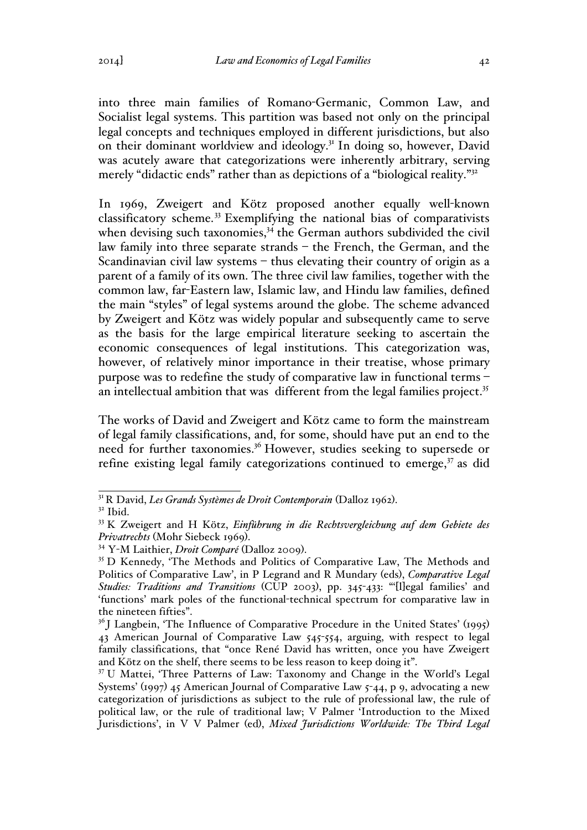into three main families of Romano-Germanic, Common Law, and Socialist legal systems. This partition was based not only on the principal legal concepts and techniques employed in different jurisdictions, but also on their dominant worldview and ideology.<sup>31</sup> In doing so, however, David was acutely aware that categorizations were inherently arbitrary, serving merely "didactic ends" rather than as depictions of a "biological reality."<sup>32</sup>

In 1969, Zweigert and Kötz proposed another equally well-known classificatory scheme. <sup>33</sup> Exemplifying the national bias of comparativists when devising such taxonomies,<sup>34</sup> the German authors subdivided the civil law family into three separate strands – the French, the German, and the Scandinavian civil law systems – thus elevating their country of origin as a parent of a family of its own. The three civil law families, together with the common law, far-Eastern law, Islamic law, and Hindu law families, defined the main "styles" of legal systems around the globe. The scheme advanced by Zweigert and Kötz was widely popular and subsequently came to serve as the basis for the large empirical literature seeking to ascertain the economic consequences of legal institutions. This categorization was, however, of relatively minor importance in their treatise, whose primary purpose was to redefine the study of comparative law in functional terms – an intellectual ambition that was different from the legal families project.<sup>35</sup>

The works of David and Zweigert and Kötz came to form the mainstream of legal family classifications, and, for some, should have put an end to the need for further taxonomies.36 However, studies seeking to supersede or refine existing legal family categorizations continued to emerge,<sup>37</sup> as did

<sup>31</sup> R David, *Les Grands Systèmes de Droit Contemporain* (Dalloz 1962). <sup>32</sup> Ibid.

<sup>33</sup> K Zweigert and H Kötz, *Einführung in die Rechtsvergleichung auf dem Gebiete des Privatrechts* (Mohr Siebeck 1969). <sup>34</sup> <sup>Y</sup>-M Laithier, *Droit Comparé* (Dalloz 2009). <sup>35</sup> D Kennedy, 'The Methods and Politics of Comparative Law, The Methods and

Politics of Comparative Law', in P Legrand and R Mundary (eds), *Comparative Legal Studies: Traditions and Transitions* (CUP 2003), pp. 345-433: "'[l]egal families' and 'functions' mark poles of the functional-technical spectrum for comparative law in the nineteen fifties".

 $36$  J Langbein, The Influence of Comparative Procedure in the United States' (1995) 43 American Journal of Comparative Law 545-554, arguing, with respect to legal family classifications, that "once René David has written, once you have Zweigert and Kötz on the shelf, there seems to be less reason to keep doing it".

<sup>&</sup>lt;sup>37</sup> U Mattei, 'Three Patterns of Law: Taxonomy and Change in the World's Legal Systems' (1997) 45 American Journal of Comparative Law 5-44, p 9, advocating a new categorization of jurisdictions as subject to the rule of professional law, the rule of political law, or the rule of traditional law; V Palmer 'Introduction to the Mixed Jurisdictions', in V V Palmer (ed), *Mixed Jurisdictions Worldwide: The Third Legal*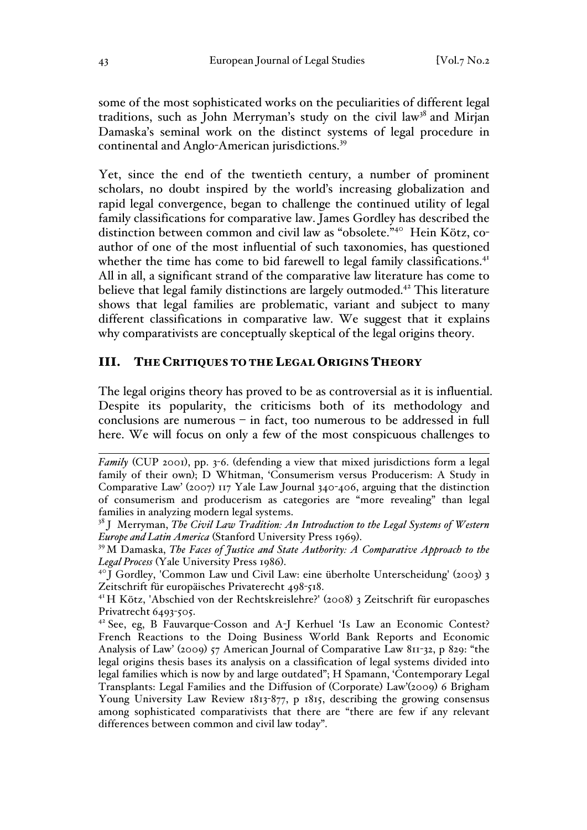some of the most sophisticated works on the peculiarities of different legal traditions, such as John Merryman's study on the civil law<sup>38</sup> and Mirjan Damaska's seminal work on the distinct systems of legal procedure in continental and Anglo-American jurisdictions.<sup>39</sup>

Yet, since the end of the twentieth century, a number of prominent scholars, no doubt inspired by the world's increasing globalization and rapid legal convergence, began to challenge the continued utility of legal family classifications for comparative law. James Gordley has described the distinction between common and civil law as "obsolete."40 Hein Kötz, coauthor of one of the most influential of such taxonomies, has questioned whether the time has come to bid farewell to legal family classifications.<sup>41</sup> All in all, a significant strand of the comparative law literature has come to believe that legal family distinctions are largely outmoded.<sup>42</sup> This literature shows that legal families are problematic, variant and subject to many different classifications in comparative law. We suggest that it explains why comparativists are conceptually skeptical of the legal origins theory.

### III. THE CRITIQUES TO THE LEGAL ORIGINS THEORY

The legal origins theory has proved to be as controversial as it is influential. Despite its popularity, the criticisms both of its methodology and conclusions are numerous – in fact, too numerous to be addressed in full here. We will focus on only a few of the most conspicuous challenges to

 $\overline{a}$ *Family* (CUP 2001), pp. 3-6. (defending a view that mixed jurisdictions form a legal family of their own); D Whitman, 'Consumerism versus Producerism: A Study in Comparative Law' (2007) 117 Yale Law Journal 340-406, arguing that the distinction of consumerism and producerism as categories are "more revealing" than legal families in analyzing modern legal systems.

<sup>38</sup> J Merryman, *The Civil Law Tradition: An Introduction to the Legal Systems of Western Europe and Latin America* (Stanford University Press 1969).<br><sup>39</sup> M Damaska, *The Faces of Justice and State Authority: A Comparative Approach to the* 

*Legal Process* (Yale University Press 1986).<br><sup>40</sup> J Gordley, 'Common Law und Civil Law: eine überholte Unterscheidung' (2003) 3

Zeitschrift für europäisches Privaterecht 498-518.

<sup>41</sup> H Kötz, 'Abschied von der Rechtskreislehre?' (2008) 3 Zeitschrift für europasches Privatrecht 6493-505.

<sup>42</sup> See, eg, B Fauvarque-Cosson and A-J Kerhuel 'Is Law an Economic Contest? French Reactions to the Doing Business World Bank Reports and Economic Analysis of Law' (2009) 57 American Journal of Comparative Law 811-32, p 829: "the legal origins thesis bases its analysis on a classification of legal systems divided into legal families which is now by and large outdated"; H Spamann, 'Contemporary Legal Transplants: Legal Families and the Diffusion of (Corporate) Law'(2009) 6 Brigham Young University Law Review 1813-877, p 1815, describing the growing consensus among sophisticated comparativists that there are "there are few if any relevant differences between common and civil law today".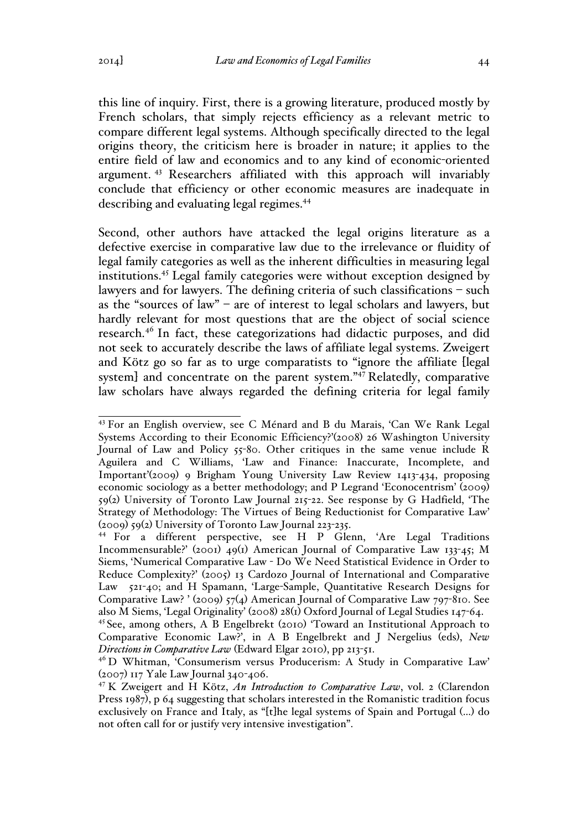this line of inquiry. First, there is a growing literature, produced mostly by French scholars, that simply rejects efficiency as a relevant metric to compare different legal systems. Although specifically directed to the legal origins theory, the criticism here is broader in nature; it applies to the entire field of law and economics and to any kind of economic-oriented argument. <sup>43</sup> Researchers affiliated with this approach will invariably conclude that efficiency or other economic measures are inadequate in describing and evaluating legal regimes.<sup>44</sup>

Second, other authors have attacked the legal origins literature as a defective exercise in comparative law due to the irrelevance or fluidity of legal family categories as well as the inherent difficulties in measuring legal institutions.45 Legal family categories were without exception designed by lawyers and for lawyers. The defining criteria of such classifications – such as the "sources of law" – are of interest to legal scholars and lawyers, but hardly relevant for most questions that are the object of social science research.<sup>46</sup> In fact, these categorizations had didactic purposes, and did not seek to accurately describe the laws of affiliate legal systems. Zweigert and Kötz go so far as to urge comparatists to "ignore the affiliate [legal system] and concentrate on the parent system."<sup>47</sup> Relatedly, comparative law scholars have always regarded the defining criteria for legal family

<sup>43</sup> For an English overview, see C Ménard and B du Marais, 'Can We Rank Legal Systems According to their Economic Efficiency?'(2008) 26 Washington University Journal of Law and Policy 55-80. Other critiques in the same venue include R Aguilera and C Williams, 'Law and Finance: Inaccurate, Incomplete, and Important'(2009) 9 Brigham Young University Law Review 1413-434, proposing economic sociology as a better methodology; and P Legrand 'Econocentrism' (2009) 59(2) University of Toronto Law Journal 215-22. See response by G Hadfield, 'The Strategy of Methodology: The Virtues of Being Reductionist for Comparative Law' (2009) 59(2) University of Toronto Law Journal 223-235.

<sup>44</sup> For a different perspective, see H P Glenn, 'Are Legal Traditions Incommensurable?' (2001) 49(1) American Journal of Comparative Law 133-45; M Siems, 'Numerical Comparative Law - Do We Need Statistical Evidence in Order to Reduce Complexity?' (2005) 13 Cardozo Journal of International and Comparative Law 521-40; and H Spamann, 'Large-Sample, Quantitative Research Designs for Comparative Law? ' (2009) 57(4) American Journal of Comparative Law 797-810. See also M Siems, 'Legal Originality' (2008) 28(1) Oxford Journal of Legal Studies 147-64.

<sup>45</sup> See, among others, A B Engelbrekt (2010) 'Toward an Institutional Approach to Comparative Economic Law?', in A B Engelbrekt and J Nergelius (eds), *New Directions in Comparative Law* (Edward Elgar 2010), pp 213-51.

<sup>46</sup> D Whitman, 'Consumerism versus Producerism: A Study in Comparative Law' (2007) 117 Yale Law Journal 340-406.

<sup>47</sup> K Zweigert and H Kötz, *An Introduction to Comparative Law*, vol. 2 (Clarendon Press 1987), p 64 suggesting that scholars interested in the Romanistic tradition focus exclusively on France and Italy, as "[t]he legal systems of Spain and Portugal (…) do not often call for or justify very intensive investigation".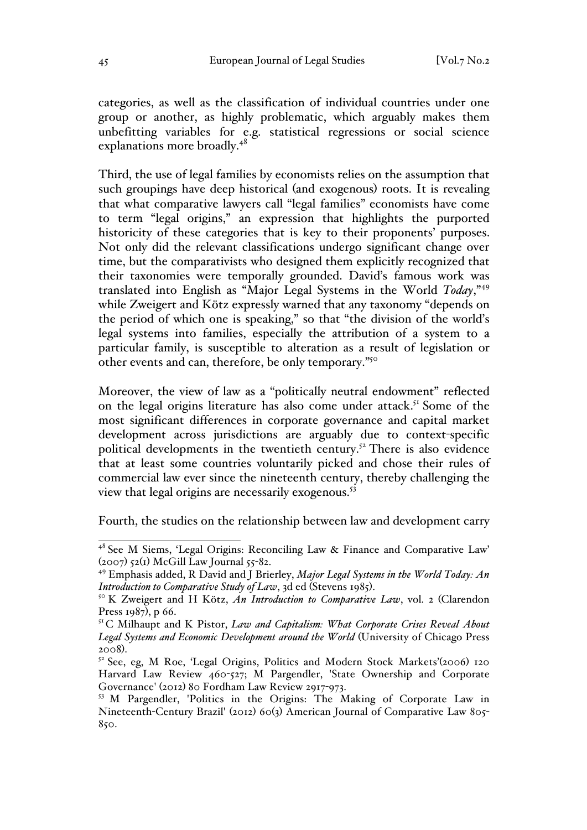categories, as well as the classification of individual countries under one group or another, as highly problematic, which arguably makes them unbefitting variables for e.g. statistical regressions or social science explanations more broadly.<sup>48</sup>

Third, the use of legal families by economists relies on the assumption that such groupings have deep historical (and exogenous) roots. It is revealing that what comparative lawyers call "legal families" economists have come to term "legal origins," an expression that highlights the purported historicity of these categories that is key to their proponents' purposes. Not only did the relevant classifications undergo significant change over time, but the comparativists who designed them explicitly recognized that their taxonomies were temporally grounded. David's famous work was translated into English as "Major Legal Systems in the World *Today*,"<sup>49</sup> while Zweigert and Kötz expressly warned that any taxonomy "depends on the period of which one is speaking," so that "the division of the world's legal systems into families, especially the attribution of a system to a particular family, is susceptible to alteration as a result of legislation or other events and can, therefore, be only temporary."50

Moreover, the view of law as a "politically neutral endowment" reflected on the legal origins literature has also come under attack.<sup>51</sup> Some of the most significant differences in corporate governance and capital market development across jurisdictions are arguably due to context-specific political developments in the twentieth century.<sup>52</sup> There is also evidence that at least some countries voluntarily picked and chose their rules of commercial law ever since the nineteenth century, thereby challenging the view that legal origins are necessarily exogenous.<sup>53</sup>

Fourth, the studies on the relationship between law and development carry

<sup>48</sup> See M Siems, 'Legal Origins: Reconciling Law & Finance and Comparative Law'  $(2007)$  52(1) McGill Law Journal 55-82.

<sup>49</sup> Emphasis added, R David and J Brierley, *Major Legal Systems in the World Today: An Introduction to Comparative Study of Law*, 3d ed (Stevens 1985).<br><sup>50</sup> K Zweigert and H Kötz, *An Introduction to Comparative Law*, vol. 2 (Clarendon

Press 1987), p 66.

<sup>51</sup> C Milhaupt and K Pistor, *Law and Capitalism: What Corporate Crises Reveal About Legal Systems and Economic Development around the World* (University of Chicago Press 2008).<br><sup>52</sup> See, eg, M Roe, 'Legal Origins, Politics and Modern Stock Markets'(2006) 120

Harvard Law Review 460-527; M Pargendler, 'State Ownership and Corporate Governance' (2012) 80 Fordham Law Review 2917-973.

<sup>53</sup> M Pargendler, 'Politics in the Origins: The Making of Corporate Law in Nineteenth-Century Brazil' (2012) 60(3) American Journal of Comparative Law 805- 850.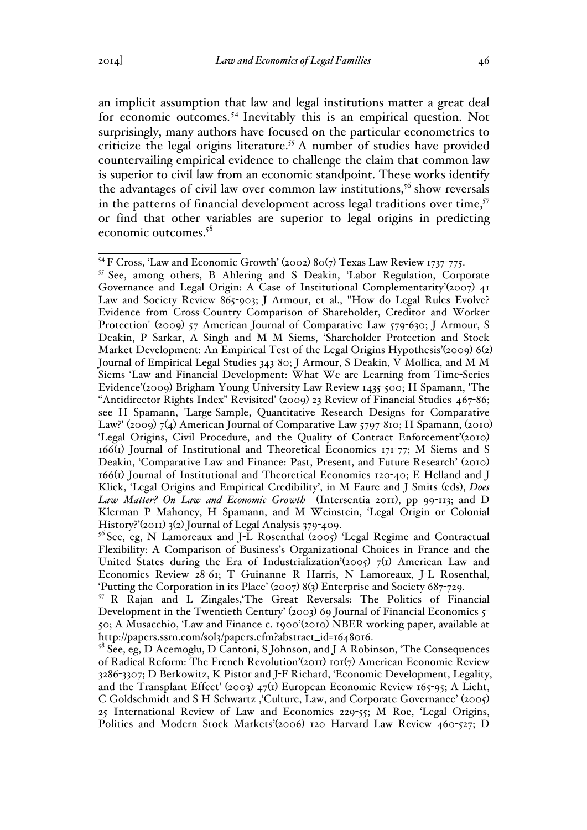an implicit assumption that law and legal institutions matter a great deal for economic outcomes. <sup>54</sup> Inevitably this is an empirical question. Not surprisingly, many authors have focused on the particular econometrics to criticize the legal origins literature.<sup>55</sup> A number of studies have provided countervailing empirical evidence to challenge the claim that common law is superior to civil law from an economic standpoint. These works identify the advantages of civil law over common law institutions,<sup>56</sup> show reversals in the patterns of financial development across legal traditions over time, $57$ or find that other variables are superior to legal origins in predicting economic outcomes.58

<sup>&</sup>lt;sup>54</sup> F Cross, 'Law and Economic Growth' (2002) 80(7) Texas Law Review 1737-775.

<sup>55</sup> See, among others, B Ahlering and S Deakin, 'Labor Regulation, Corporate Governance and Legal Origin: A Case of Institutional Complementarity'(2007)  $_{4}$ 1 Law and Society Review 865-903; J Armour, et al., "How do Legal Rules Evolve? Evidence from Cross-Country Comparison of Shareholder, Creditor and Worker Protection' (2009) 57 American Journal of Comparative Law 579-630; J Armour, S Deakin, P Sarkar, A Singh and M M Siems, 'Shareholder Protection and Stock Market Development: An Empirical Test of the Legal Origins Hypothesis'(2009) 6(2) Journal of Empirical Legal Studies 343-80; J Armour, S Deakin, V Mollica, and M M Siems 'Law and Financial Development: What We are Learning from Time-Series Evidence'(2009) Brigham Young University Law Review 1435-500; H Spamann, 'The "Antidirector Rights Index" Revisited' (2009) 23 Review of Financial Studies 467-86; see H Spamann, 'Large-Sample, Quantitative Research Designs for Comparative Law?' (2009) 7(4) American Journal of Comparative Law 5797-810; H Spamann, (2010) 'Legal Origins, Civil Procedure, and the Quality of Contract Enforcement'(2010) 166(1) Journal of Institutional and Theoretical Economics 171-77; M Siems and S Deakin, 'Comparative Law and Finance: Past, Present, and Future Research' (2010) 166(1) Journal of Institutional and Theoretical Economics 120-40; E Helland and J Klick, 'Legal Origins and Empirical Credibility', in M Faure and J Smits (eds), *Does Law Matter? On Law and Economic Growth* (Intersentia 2011), pp 99-113; and D Klerman P Mahoney, H Spamann, and M Weinstein, 'Legal Origin or Colonial History?'(2011) 3(2) Journal of Legal Analysis 379-409.

<sup>&</sup>lt;sup>56</sup> See, eg, N Lamoreaux and J-L Rosenthal (2005) 'Legal Regime and Contractual Flexibility: A Comparison of Business's Organizational Choices in France and the United States during the Era of Industrialization'(2005) 7(1) American Law and Economics Review 28-61; T Guinanne R Harris, N Lamoreaux, J-L Rosenthal, 'Putting the Corporation in its Place' (2007) 8(3) Enterprise and Society 687-729.

<sup>57</sup> R Rajan and L Zingales,'The Great Reversals: The Politics of Financial Development in the Twentieth Century' (2003) 69 Journal of Financial Economics 5- 50; A Musacchio, 'Law and Finance c. 1900'(2010) NBER working paper, available at http://papers.ssrn.com/sol3/papers.cfm?abstract\_id=1648016.<br><sup>58</sup> See, eg, D Acemoglu, D Cantoni, S Johnson, and J A Robinson, 'The Consequences

of Radical Reform: The French Revolution'(2011) 101(7) American Economic Review 3286-3307; D Berkowitz, K Pistor and J-F Richard, 'Economic Development, Legality, and the Transplant Effect' (2003)  $47<sub>1</sub>$  European Economic Review 165-95; A Licht, C Goldschmidt and S H Schwartz ,'Culture, Law, and Corporate Governance' (2005) 25 International Review of Law and Economics 229-55; M Roe, 'Legal Origins, Politics and Modern Stock Markets'(2006) 120 Harvard Law Review 460-527; D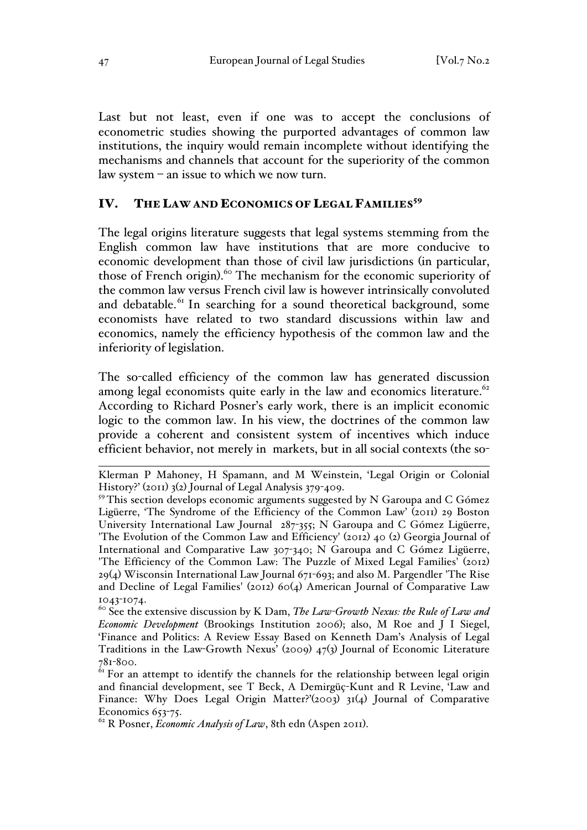Last but not least, even if one was to accept the conclusions of econometric studies showing the purported advantages of common law institutions, the inquiry would remain incomplete without identifying the mechanisms and channels that account for the superiority of the common law system – an issue to which we now turn.

### IV. THE LAW AND ECONOMICS OF LEGAL FAMILIES<sup>59</sup>

The legal origins literature suggests that legal systems stemming from the English common law have institutions that are more conducive to economic development than those of civil law jurisdictions (in particular, those of French origin).<sup>60</sup> The mechanism for the economic superiority of the common law versus French civil law is however intrinsically convoluted and debatable.<sup>61</sup> In searching for a sound theoretical background, some economists have related to two standard discussions within law and economics, namely the efficiency hypothesis of the common law and the inferiority of legislation.

The so-called efficiency of the common law has generated discussion among legal economists quite early in the law and economics literature. $62$ According to Richard Posner's early work, there is an implicit economic logic to the common law. In his view, the doctrines of the common law provide a coherent and consistent system of incentives which induce efficient behavior, not merely in markets, but in all social contexts (the so-

 $\overline{a}$ Klerman P Mahoney, H Spamann, and M Weinstein, 'Legal Origin or Colonial History?' (2011) 3(2) Journal of Legal Analysis 379-409.

<sup>&</sup>lt;sup>59</sup> This section develops economic arguments suggested by N Garoupa and C Gómez Ligüerre, 'The Syndrome of the Efficiency of the Common Law' (2011) 29 Boston University International Law Journal 287-355; N Garoupa and C Gómez Ligüerre, 'The Evolution of the Common Law and Efficiency' (2012) 40 (2) Georgia Journal of International and Comparative Law 307-340; N Garoupa and C Gómez Ligüerre, 'The Efficiency of the Common Law: The Puzzle of Mixed Legal Families' (2012) 29(4) Wisconsin International Law Journal 671-693; and also M. Pargendler 'The Rise and Decline of Legal Families' (2012) 60(4) American Journal of Comparative Law 1043-1074.

<sup>60</sup> See the extensive discussion by K Dam, *The Law-Growth Nexus: the Rule of Law and Economic Development* (Brookings Institution 2006); also, M Roe and J I Siegel, 'Finance and Politics: A Review Essay Based on Kenneth Dam's Analysis of Legal Traditions in the Law-Growth Nexus' (2009) 47(3) Journal of Economic Literature 781-800.

 $61$  For an attempt to identify the channels for the relationship between legal origin and financial development, see T Beck, A Demirgüç-Kunt and R Levine, 'Law and Finance: Why Does Legal Origin Matter?'(2003) 31(4) Journal of Comparative Economics 653-75.

<sup>&</sup>lt;sup>62</sup> R Posner, *Economic Analysis of Law*, 8th edn (Aspen 2011).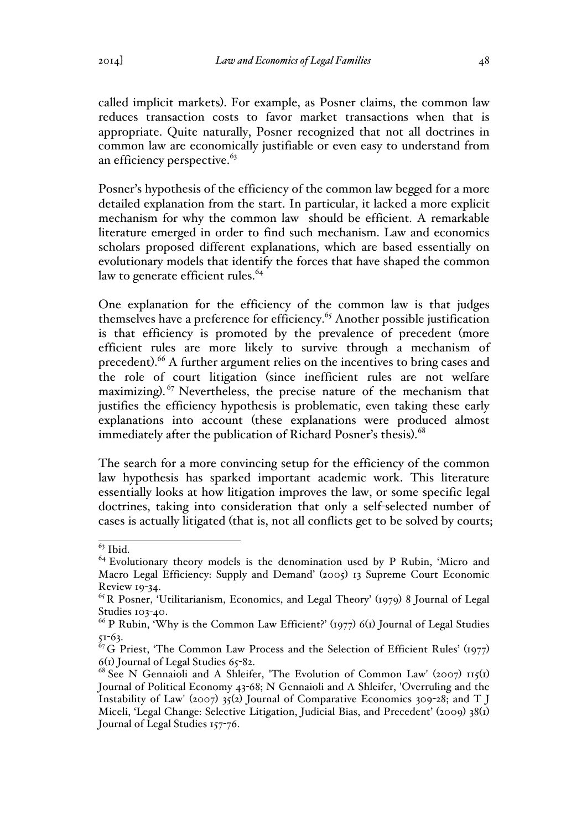called implicit markets). For example, as Posner claims, the common law reduces transaction costs to favor market transactions when that is appropriate. Quite naturally, Posner recognized that not all doctrines in common law are economically justifiable or even easy to understand from an efficiency perspective.<sup>63</sup>

Posner's hypothesis of the efficiency of the common law begged for a more detailed explanation from the start. In particular, it lacked a more explicit mechanism for why the common law should be efficient. A remarkable literature emerged in order to find such mechanism. Law and economics scholars proposed different explanations, which are based essentially on evolutionary models that identify the forces that have shaped the common law to generate efficient rules.<sup>64</sup>

One explanation for the efficiency of the common law is that judges themselves have a preference for efficiency.<sup>65</sup> Another possible justification is that efficiency is promoted by the prevalence of precedent (more efficient rules are more likely to survive through a mechanism of precedent).<sup>66</sup> A further argument relies on the incentives to bring cases and the role of court litigation (since inefficient rules are not welfare maximizing).<sup>67</sup> Nevertheless, the precise nature of the mechanism that justifies the efficiency hypothesis is problematic, even taking these early explanations into account (these explanations were produced almost immediately after the publication of Richard Posner's thesis). 68

The search for a more convincing setup for the efficiency of the common law hypothesis has sparked important academic work. This literature essentially looks at how litigation improves the law, or some specific legal doctrines, taking into consideration that only a self-selected number of cases is actually litigated (that is, not all conflicts get to be solved by courts;

 $\frac{63}{63}$  Ibid.<br><sup>64</sup> Evolutionary theory models is the denomination used by P Rubin, 'Micro and Macro Legal Efficiency: Supply and Demand' (2005) 13 Supreme Court Economic Review 19-34.

 $^{65}$  R Posner, 'Utilitarianism, Economics, and Legal Theory' (1979) 8 Journal of Legal Studies 103-40.

<sup>&</sup>lt;sup>66</sup> P Rubin, 'Why is the Common Law Efficient?' (1977) 6(1) Journal of Legal Studies 51-63.

 $^{67}$ G Priest, 'The Common Law Process and the Selection of Efficient Rules' (1977) 6(1) Journal of Legal Studies 65-82.

 $68$  See N Gennaioli and A Shleifer, 'The Evolution of Common Law' (2007) 115(1) Journal of Political Economy 43-68; N Gennaioli and A Shleifer, 'Overruling and the Instability of Law' (2007) 35(2) Journal of Comparative Economics 309-28; and T J Miceli, 'Legal Change: Selective Litigation, Judicial Bias, and Precedent' (2009) 38(1) Journal of Legal Studies 157-76.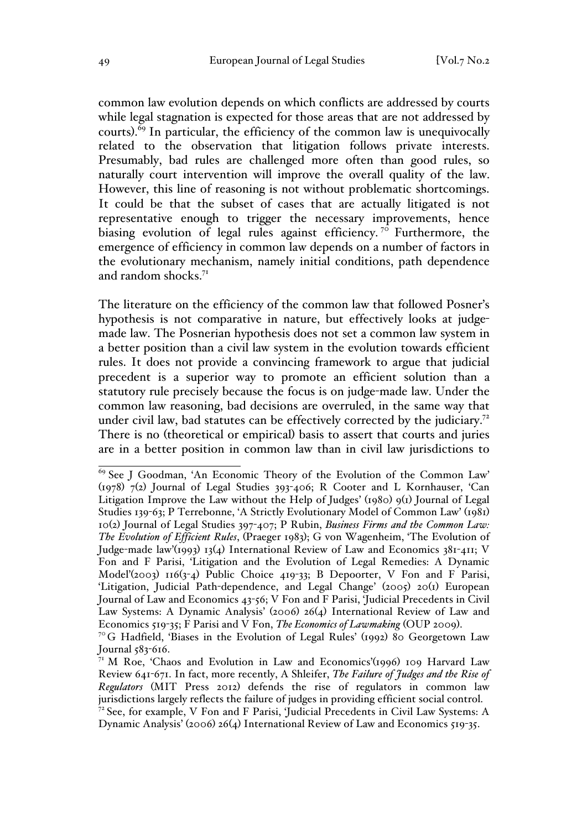common law evolution depends on which conflicts are addressed by courts while legal stagnation is expected for those areas that are not addressed by courts). <sup>69</sup> In particular, the efficiency of the common law is unequivocally related to the observation that litigation follows private interests. Presumably, bad rules are challenged more often than good rules, so naturally court intervention will improve the overall quality of the law. However, this line of reasoning is not without problematic shortcomings. It could be that the subset of cases that are actually litigated is not representative enough to trigger the necessary improvements, hence biasing evolution of legal rules against efficiency.<sup>70</sup> Furthermore, the emergence of efficiency in common law depends on a number of factors in the evolutionary mechanism, namely initial conditions, path dependence and random shocks.<sup>71</sup>

The literature on the efficiency of the common law that followed Posner's hypothesis is not comparative in nature, but effectively looks at judgemade law. The Posnerian hypothesis does not set a common law system in a better position than a civil law system in the evolution towards efficient rules. It does not provide a convincing framework to argue that judicial precedent is a superior way to promote an efficient solution than a statutory rule precisely because the focus is on judge-made law. Under the common law reasoning, bad decisions are overruled, in the same way that under civil law, bad statutes can be effectively corrected by the judiciary.<sup>72</sup> There is no (theoretical or empirical) basis to assert that courts and juries are in a better position in common law than in civil law jurisdictions to

<sup>69</sup> See J Goodman, 'An Economic Theory of the Evolution of the Common Law' (1978) 7(2) Journal of Legal Studies 393-406; R Cooter and L Kornhauser, 'Can Litigation Improve the Law without the Help of Judges' (1980) 9(1) Journal of Legal Studies 139-63; P Terrebonne, 'A Strictly Evolutionary Model of Common Law' (1981) 10(2) Journal of Legal Studies 397-407; P Rubin, *Business Firms and the Common Law: The Evolution of Efficient Rules*, (Praeger 1983); G von Wagenheim, 'The Evolution of Judge-made law'(1993) 13(4) International Review of Law and Economics 381-411; V Fon and F Parisi, 'Litigation and the Evolution of Legal Remedies: A Dynamic Model'(2003) 116(3-4) Public Choice 419-33; B Depoorter, V Fon and F Parisi, 'Litigation, Judicial Path-dependence, and Legal Change' (2005) 20(1) European Journal of Law and Economics 43-56; V Fon and F Parisi, 'Judicial Precedents in Civil Law Systems: A Dynamic Analysis' (2006) 26(4) International Review of Law and Economics  $519-35$ ; F Parisi and V Fon, *The Economics of Law making* (OUP 2009).

<sup>&</sup>lt;sup>7°</sup>G Hadfield, 'Biases in the Evolution of Legal Rules' (1992) 80 Georgetown Law Journal 583-616.

 $71$  M Roe, 'Chaos and Evolution in Law and Economics'(1996) 109 Harvard Law Review 641-671. In fact, more recently, A Shleifer, *The Failure of Judges and the Rise of Regulators* (MIT Press 2012) defends the rise of regulators in common law jurisdictions largely reflects the failure of judges in providing efficient social control. <sup>72</sup> See, for example, V Fon and F Parisi, 'Judicial Precedents in Civil Law Systems: A Dynamic Analysis' (2006) 26(4) International Review of Law and Economics 519-35.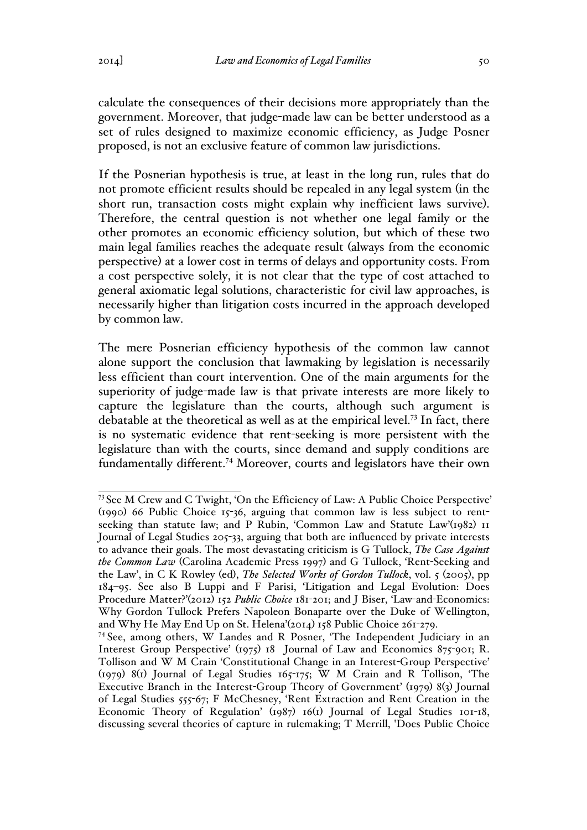calculate the consequences of their decisions more appropriately than the government. Moreover, that judge-made law can be better understood as a set of rules designed to maximize economic efficiency, as Judge Posner proposed, is not an exclusive feature of common law jurisdictions.

If the Posnerian hypothesis is true, at least in the long run, rules that do not promote efficient results should be repealed in any legal system (in the short run, transaction costs might explain why inefficient laws survive). Therefore, the central question is not whether one legal family or the other promotes an economic efficiency solution, but which of these two main legal families reaches the adequate result (always from the economic perspective) at a lower cost in terms of delays and opportunity costs. From a cost perspective solely, it is not clear that the type of cost attached to general axiomatic legal solutions, characteristic for civil law approaches, is necessarily higher than litigation costs incurred in the approach developed by common law.

The mere Posnerian efficiency hypothesis of the common law cannot alone support the conclusion that lawmaking by legislation is necessarily less efficient than court intervention. One of the main arguments for the superiority of judge-made law is that private interests are more likely to capture the legislature than the courts, although such argument is debatable at the theoretical as well as at the empirical level.<sup>73</sup> In fact, there is no systematic evidence that rent-seeking is more persistent with the legislature than with the courts, since demand and supply conditions are fundamentally different.74 Moreover, courts and legislators have their own

<sup>73</sup> See M Crew and C Twight, 'On the Efficiency of Law: A Public Choice Perspective' (1990) 66 Public Choice 15-36, arguing that common law is less subject to rentseeking than statute law; and P Rubin, 'Common Law and Statute Law'(1982) II Journal of Legal Studies 205-33, arguing that both are influenced by private interests to advance their goals. The most devastating criticism is G Tullock, *The Case Against the Common Law* (Carolina Academic Press 1997) and G Tullock, 'Rent-Seeking and the Law', in C K Rowley (ed), *The Selected Works of Gordon Tullock*, vol. 5 (2005), pp 184–95. See also B Luppi and F Parisi, 'Litigation and Legal Evolution: Does Procedure Matter?'(2012) 152 *Public Choice* 181-201; and J Biser, 'Law-and-Economics: Why Gordon Tullock Prefers Napoleon Bonaparte over the Duke of Wellington, and Why He May End Up on St. Helena'(2014) 158 Public Choice 261-279.

<sup>74</sup> See, among others, W Landes and R Posner, 'The Independent Judiciary in an Interest Group Perspective' (1975) 18 Journal of Law and Economics 875-901; R. Tollison and W M Crain 'Constitutional Change in an Interest-Group Perspective' (1979) 8(1) Journal of Legal Studies 165-175; W M Crain and R Tollison, 'The Executive Branch in the Interest-Group Theory of Government' (1979) 8(3) Journal of Legal Studies 555-67; F McChesney, 'Rent Extraction and Rent Creation in the Economic Theory of Regulation' (1987) 16(1) Journal of Legal Studies 101-18, discussing several theories of capture in rulemaking; T Merrill, 'Does Public Choice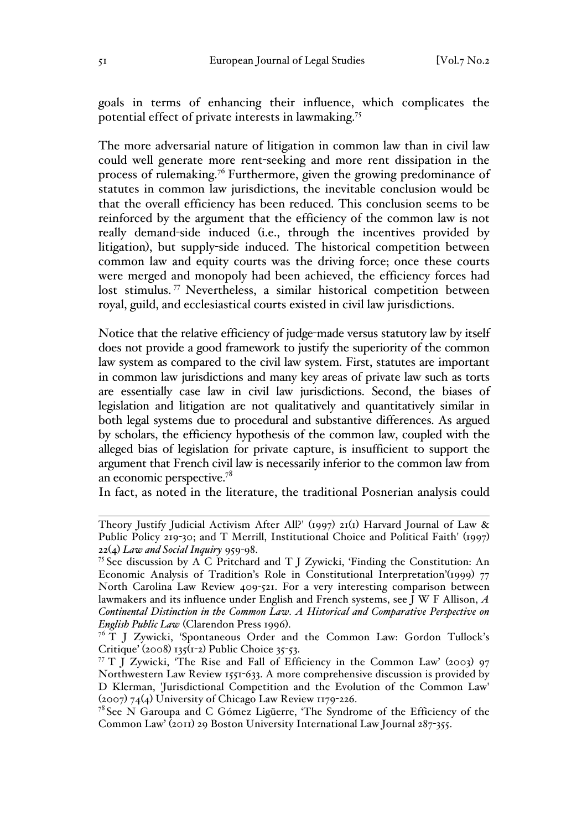goals in terms of enhancing their influence, which complicates the potential effect of private interests in lawmaking.75

The more adversarial nature of litigation in common law than in civil law could well generate more rent-seeking and more rent dissipation in the process of rulemaking.<sup>76</sup> Furthermore, given the growing predominance of statutes in common law jurisdictions, the inevitable conclusion would be that the overall efficiency has been reduced. This conclusion seems to be reinforced by the argument that the efficiency of the common law is not really demand-side induced (i.e., through the incentives provided by litigation), but supply-side induced. The historical competition between common law and equity courts was the driving force; once these courts were merged and monopoly had been achieved, the efficiency forces had lost stimulus. <sup>77</sup> Nevertheless, a similar historical competition between royal, guild, and ecclesiastical courts existed in civil law jurisdictions.

Notice that the relative efficiency of judge-made versus statutory law by itself does not provide a good framework to justify the superiority of the common law system as compared to the civil law system. First, statutes are important in common law jurisdictions and many key areas of private law such as torts are essentially case law in civil law jurisdictions. Second, the biases of legislation and litigation are not qualitatively and quantitatively similar in both legal systems due to procedural and substantive differences. As argued by scholars, the efficiency hypothesis of the common law, coupled with the alleged bias of legislation for private capture, is insufficient to support the argument that French civil law is necessarily inferior to the common law from an economic perspective.78

In fact, as noted in the literature, the traditional Posnerian analysis could

 $\overline{a}$ Theory Justify Judicial Activism After All?' (1997) 21(1) Harvard Journal of Law & Public Policy 219-30; and T Merrill, Institutional Choice and Political Faith' (1997) 22(4) *Law and Social Inquiry* 959-98.

<sup>&</sup>lt;sup>75</sup> See discussion by A C Pritchard and T J Zywicki, 'Finding the Constitution: An Economic Analysis of Tradition's Role in Constitutional Interpretation'(1999) 77 North Carolina Law Review 409-521. For a very interesting comparison between lawmakers and its influence under English and French systems, see J W F Allison, *A Continental Distinction in the Common Law. A Historical and Comparative Perspective on English Public Law* (Clarendon Press 1996).<br><sup>76</sup> T J Zywicki, 'Spontaneous Order and the Common Law: Gordon Tullock's

Critique' (2008) 135(1-2) Public Choice 35-53.

 $77$  T J Zywicki, 'The Rise and Fall of Efficiency in the Common Law' (2003) 97 Northwestern Law Review 1551-633. A more comprehensive discussion is provided by D Klerman, 'Jurisdictional Competition and the Evolution of the Common Law' (2007) 74(4) University of Chicago Law Review 1179-226.

 $7<sup>8</sup>$  See N Garoupa and C Gómez Ligüerre, 'The Syndrome of the Efficiency of the Common Law' (2011) 29 Boston University International Law Journal 287-355.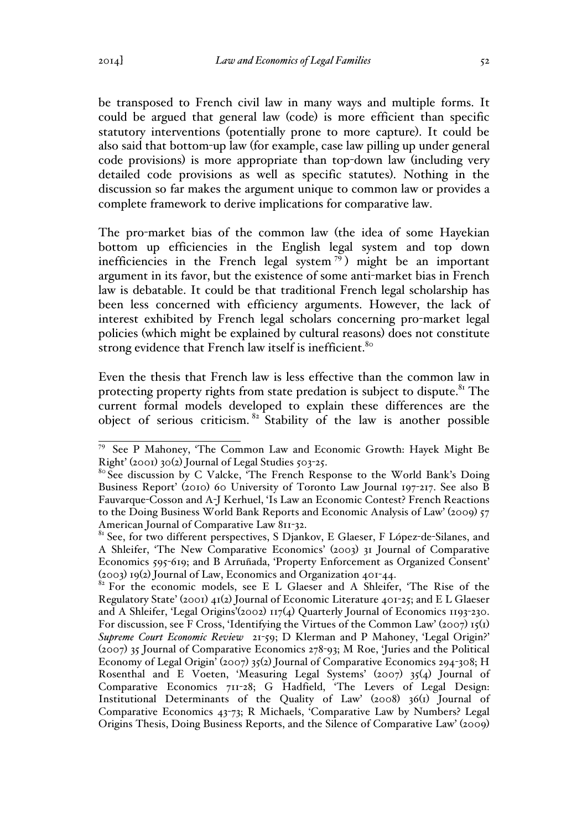be transposed to French civil law in many ways and multiple forms. It could be argued that general law (code) is more efficient than specific statutory interventions (potentially prone to more capture). It could be also said that bottom-up law (for example, case law pilling up under general code provisions) is more appropriate than top-down law (including very detailed code provisions as well as specific statutes). Nothing in the discussion so far makes the argument unique to common law or provides a complete framework to derive implications for comparative law.

The pro-market bias of the common law (the idea of some Hayekian bottom up efficiencies in the English legal system and top down inefficiencies in the French legal system  $\binom{79}{1}$  might be an important argument in its favor, but the existence of some anti-market bias in French law is debatable. It could be that traditional French legal scholarship has been less concerned with efficiency arguments. However, the lack of interest exhibited by French legal scholars concerning pro-market legal policies (which might be explained by cultural reasons) does not constitute strong evidence that French law itself is inefficient.<sup>80</sup>

Even the thesis that French law is less effective than the common law in protecting property rights from state predation is subject to dispute.<sup>81</sup> The current formal models developed to explain these differences are the object of serious criticism. <sup>82</sup> Stability of the law is another possible

79 See P Mahoney, 'The Common Law and Economic Growth: Hayek Might Be Right' (2001) 30(2) Journal of Legal Studies 503-25.

<sup>&</sup>lt;sup>80</sup> See discussion by C Valcke, 'The French Response to the World Bank's Doing Business Report' (2010) 60 University of Toronto Law Journal 197-217. See also B Fauvarque-Cosson and A-J Kerhuel, 'Is Law an Economic Contest? French Reactions to the Doing Business World Bank Reports and Economic Analysis of Law' (2009) 57 American Journal of Comparative Law 811-32.

<sup>&</sup>lt;sup>81</sup> See, for two different perspectives, S Djankov, E Glaeser, F López-de-Silanes, and A Shleifer, 'The New Comparative Economics' (2003) 31 Journal of Comparative Economics 595-619; and B Arruñada, 'Property Enforcement as Organized Consent' (2003) 19(2) Journal of Law, Economics and Organization 401-44.

<sup>&</sup>lt;sup>82</sup> For the economic models, see E L Glaeser and A Shleifer, 'The Rise of the Regulatory State' (2001) 41(2) Journal of Economic Literature 401-25; and E L Glaeser and A Shleifer, 'Legal Origins'(2002) 117(4) Quarterly Journal of Economics 1193-230. For discussion, see F Cross, 'Identifying the Virtues of the Common Law' (2007)  $I_5(I)$ *Supreme Court Economic Review* 21-59; D Klerman and P Mahoney, 'Legal Origin?' (2007) 35 Journal of Comparative Economics 278-93; M Roe, 'Juries and the Political Economy of Legal Origin' (2007) 35(2) Journal of Comparative Economics 294-308; H Rosenthal and E Voeten, 'Measuring Legal Systems' (2007) 35(4) Journal of Comparative Economics 711-28; G Hadfield, 'The Levers of Legal Design: Institutional Determinants of the Quality of Law' (2008) 36(1) Journal of Comparative Economics 43-73; R Michaels, 'Comparative Law by Numbers? Legal Origins Thesis, Doing Business Reports, and the Silence of Comparative Law' (2009)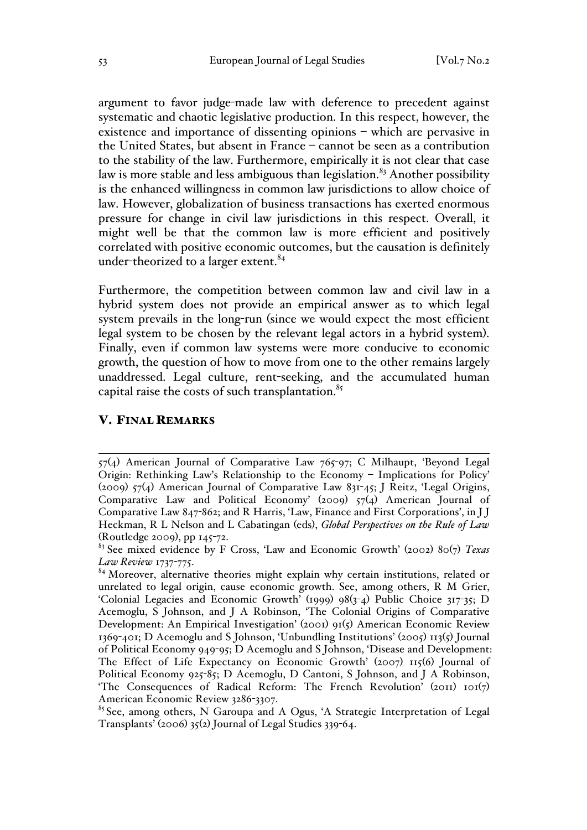argument to favor judge-made law with deference to precedent against systematic and chaotic legislative production. In this respect, however, the existence and importance of dissenting opinions – which are pervasive in the United States, but absent in France – cannot be seen as a contribution to the stability of the law. Furthermore, empirically it is not clear that case law is more stable and less ambiguous than legislation.<sup>83</sup> Another possibility is the enhanced willingness in common law jurisdictions to allow choice of law. However, globalization of business transactions has exerted enormous pressure for change in civil law jurisdictions in this respect. Overall, it might well be that the common law is more efficient and positively correlated with positive economic outcomes, but the causation is definitely under-theorized to a larger extent.<sup>84</sup>

Furthermore, the competition between common law and civil law in a hybrid system does not provide an empirical answer as to which legal system prevails in the long-run (since we would expect the most efficient legal system to be chosen by the relevant legal actors in a hybrid system). Finally, even if common law systems were more conducive to economic growth, the question of how to move from one to the other remains largely unaddressed. Legal culture, rent-seeking, and the accumulated human capital raise the costs of such transplantation. $85$ 

### V. FINAL REMARKS

 $\overline{a}$ 57(4) American Journal of Comparative Law 765-97; C Milhaupt, 'Beyond Legal Origin: Rethinking Law's Relationship to the Economy – Implications for Policy' (2009) 57(4) American Journal of Comparative Law 831-45; J Reitz, 'Legal Origins, Comparative Law and Political Economy' (2009) 57(4) American Journal of Comparative Law 847-862; and R Harris, 'Law, Finance and First Corporations', in J J Heckman, R L Nelson and L Cabatingan (eds), *Global Perspectives on the Rule of Law* (Routledge 2009), pp 145-72.

<sup>83</sup> See mixed evidence by F Cross, 'Law and Economic Growth' (2002) 80(7) *Texas Law Review* 1737-775.

<sup>&</sup>lt;sup>84</sup> Moreover, alternative theories might explain why certain institutions, related or unrelated to legal origin, cause economic growth. See, among others, R M Grier, 'Colonial Legacies and Economic Growth' (1999)  $98(3-4)$  Public Choice  $317-35$ ; D Acemoglu, S Johnson, and J A Robinson, 'The Colonial Origins of Comparative Development: An Empirical Investigation' (2001) 91(5) American Economic Review 1369-401; D Acemoglu and S Johnson, 'Unbundling Institutions' (2005) 113(5) Journal of Political Economy 949-95; D Acemoglu and S Johnson, 'Disease and Development: The Effect of Life Expectancy on Economic Growth' (2007) 115(6) Journal of Political Economy 925-85; D Acemoglu, D Cantoni, S Johnson, and J A Robinson, 'The Consequences of Radical Reform: The French Revolution' (2011)  $101(7)$ American Economic Review 3286-3307.

<sup>&</sup>lt;sup>85</sup> See, among others, N Garoupa and A Ogus, 'A Strategic Interpretation of Legal Transplants' (2006) 35(2) Journal of Legal Studies 339-64.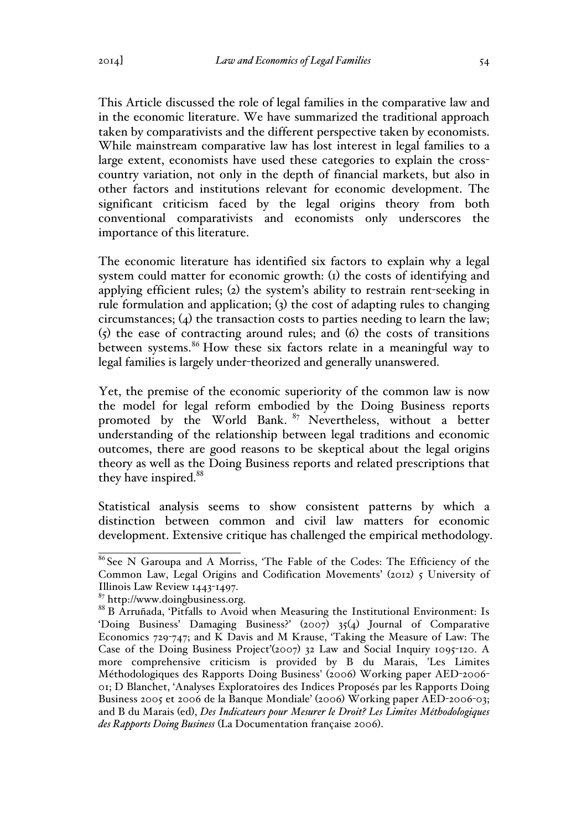This Article discussed the role of legal families in the comparative law and in the economic literature. We have summarized the traditional approach taken by comparativists and the different perspective taken by economists. While mainstream comparative law has lost interest in legal families to a large extent, economists have used these categories to explain the crosscountry variation, not only in the depth of financial markets, but also in other factors and institutions relevant for economic development. The significant criticism faced by the legal origins theory from both conventional comparativists and economists only underscores the importance of this literature.

The economic literature has identified six factors to explain why a legal system could matter for economic growth: (1) the costs of identifying and applying efficient rules; (2) the system's ability to restrain rent-seeking in rule formulation and application; (3) the cost of adapting rules to changing circumstances; (4) the transaction costs to parties needing to learn the law; (5) the ease of contracting around rules; and (6) the costs of transitions between systems.<sup>86</sup> How these six factors relate in a meaningful way to legal families is largely under-theorized and generally unanswered.

Yet, the premise of the economic superiority of the common law is now the model for legal reform embodied by the Doing Business reports promoted by the World Bank. <sup>87</sup> Nevertheless, without a better understanding of the relationship between legal traditions and economic outcomes, there are good reasons to be skeptical about the legal origins theory as well as the Doing Business reports and related prescriptions that they have inspired.<sup>88</sup>

Statistical analysis seems to show consistent patterns by which a distinction between common and civil law matters for economic development. Extensive critique has challenged the empirical methodology.

<sup>86</sup> See N Garoupa and A Morriss, 'The Fable of the Codes: The Efficiency of the Common Law, Legal Origins and Codification Movements' (2012) 5 University of Illinois Law Review 1443-1497.

<sup>&</sup>lt;sup>87</sup> http://www.doingbusiness.org.<br><sup>88</sup> B Arruñada, 'Pitfalls to Avoid when Measuring the Institutional Environment: Is 'Doing Business' Damaging Business?' (2007) 35(4) Journal of Comparative Economics 729-747; and K Davis and M Krause, 'Taking the Measure of Law: The Case of the Doing Business Project'(2007) 32 Law and Social Inquiry 1095-120. A more comprehensive criticism is provided by B du Marais, 'Les Limites Méthodologiques des Rapports Doing Business' (2006) Working paper AED-2006- 01; D Blanchet, 'Analyses Exploratoires des Indices Proposés par les Rapports Doing Business 2005 et 2006 de la Banque Mondiale' (2006) Working paper AED-2006-03; and B du Marais (ed), *Des Indicateurs pour Mesurer le Droit? Les Limites Méthodologiques des Rapports Doing Business* (La Documentation française 2006).